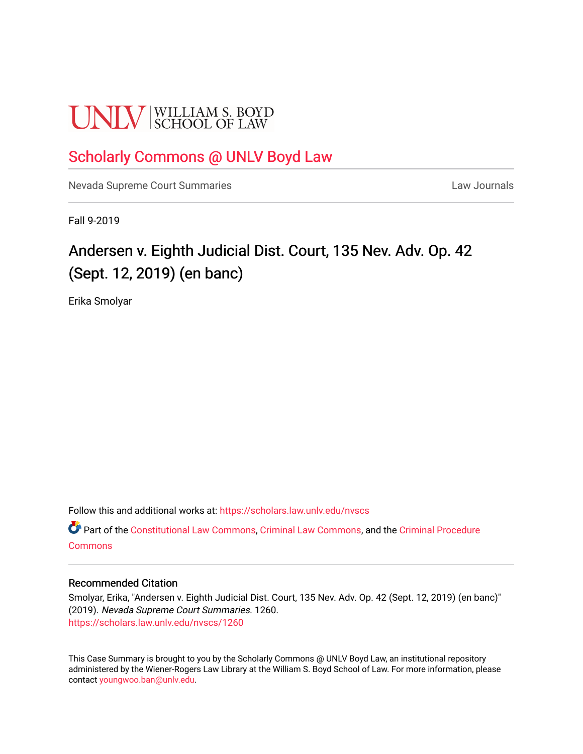# **UNIV** SCHOOL OF LAW

# [Scholarly Commons @ UNLV Boyd Law](https://scholars.law.unlv.edu/)

[Nevada Supreme Court Summaries](https://scholars.law.unlv.edu/nvscs) **Law Journals** Law Journals

Fall 9-2019

# Andersen v. Eighth Judicial Dist. Court, 135 Nev. Adv. Op. 42 (Sept. 12, 2019) (en banc)

Erika Smolyar

Follow this and additional works at: [https://scholars.law.unlv.edu/nvscs](https://scholars.law.unlv.edu/nvscs?utm_source=scholars.law.unlv.edu%2Fnvscs%2F1260&utm_medium=PDF&utm_campaign=PDFCoverPages)

Part of the [Constitutional Law Commons,](http://network.bepress.com/hgg/discipline/589?utm_source=scholars.law.unlv.edu%2Fnvscs%2F1260&utm_medium=PDF&utm_campaign=PDFCoverPages) [Criminal Law Commons,](http://network.bepress.com/hgg/discipline/912?utm_source=scholars.law.unlv.edu%2Fnvscs%2F1260&utm_medium=PDF&utm_campaign=PDFCoverPages) and the [Criminal Procedure](http://network.bepress.com/hgg/discipline/1073?utm_source=scholars.law.unlv.edu%2Fnvscs%2F1260&utm_medium=PDF&utm_campaign=PDFCoverPages)  **[Commons](http://network.bepress.com/hgg/discipline/1073?utm_source=scholars.law.unlv.edu%2Fnvscs%2F1260&utm_medium=PDF&utm_campaign=PDFCoverPages)** 

# Recommended Citation

Smolyar, Erika, "Andersen v. Eighth Judicial Dist. Court, 135 Nev. Adv. Op. 42 (Sept. 12, 2019) (en banc)" (2019). Nevada Supreme Court Summaries. 1260. [https://scholars.law.unlv.edu/nvscs/1260](https://scholars.law.unlv.edu/nvscs/1260?utm_source=scholars.law.unlv.edu%2Fnvscs%2F1260&utm_medium=PDF&utm_campaign=PDFCoverPages) 

This Case Summary is brought to you by the Scholarly Commons @ UNLV Boyd Law, an institutional repository administered by the Wiener-Rogers Law Library at the William S. Boyd School of Law. For more information, please contact [youngwoo.ban@unlv.edu](mailto:youngwoo.ban@unlv.edu).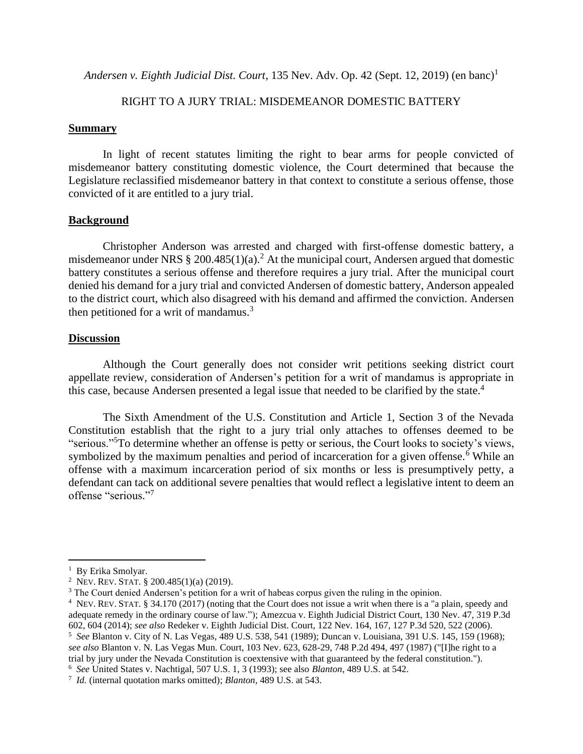*Andersen v. Eighth Judicial Dist. Court*, 135 Nev. Adv. Op. 42 (Sept. 12, 2019) (en banc)<sup>1</sup>

# RIGHT TO A JURY TRIAL: MISDEMEANOR DOMESTIC BATTERY

### **Summary**

In light of recent statutes limiting the right to bear arms for people convicted of misdemeanor battery constituting domestic violence, the Court determined that because the Legislature reclassified misdemeanor battery in that context to constitute a serious offense, those convicted of it are entitled to a jury trial.

# **Background**

Christopher Anderson was arrested and charged with first-offense domestic battery, a misdemeanor under NRS  $\S 200.485(1)(a)^2$  At the municipal court, Andersen argued that domestic battery constitutes a serious offense and therefore requires a jury trial. After the municipal court denied his demand for a jury trial and convicted Andersen of domestic battery, Anderson appealed to the district court, which also disagreed with his demand and affirmed the conviction. Andersen then petitioned for a writ of mandamus. $3$ 

# **Discussion**

Although the Court generally does not consider writ petitions seeking district court appellate review, consideration of Andersen's petition for a writ of mandamus is appropriate in this case, because Andersen presented a legal issue that needed to be clarified by the state.<sup>4</sup>

The Sixth Amendment of the U.S. Constitution and Article 1, Section 3 of the Nevada Constitution establish that the right to a jury trial only attaches to offenses deemed to be "serious."<sup>5</sup>To determine whether an offense is petty or serious, the Court looks to society's views, symbolized by the maximum penalties and period of incarceration for a given offense.<sup>6</sup> While an offense with a maximum incarceration period of six months or less is presumptively petty, a defendant can tack on additional severe penalties that would reflect a legislative intent to deem an offense "serious." 7

<sup>&</sup>lt;sup>1</sup> By Erika Smolyar.

<sup>&</sup>lt;sup>2</sup> Nev. Rev. STAT. § 200.485(1)(a) (2019).

<sup>&</sup>lt;sup>3</sup> The Court denied Andersen's petition for a writ of habeas corpus given the ruling in the opinion.

<sup>4</sup> NEV. REV. STAT. § 34.170 (2017) (noting that the Court does not issue a writ when there is a "a plain, speedy and adequate remedy in the ordinary course of law."); Amezcua v. Eighth Judicial District Court, 130 Nev. 47, 319 P.3d 602, 604 (2014); *see also* Redeker v. Eighth Judicial Dist. Court, 122 Nev. 164, 167, 127 P.3d 520, 522 (2006). <sup>5</sup> *See* Blanton v. City of N. Las Vegas, 489 U.S. 538, 541 (1989); Duncan v. Louisiana, 391 U.S. 145, 159 (1968); *see also* Blanton v. N. Las Vegas Mun. Court, 103 Nev. 623, 628-29, 748 P.2d 494, 497 (1987) ("[I]he right to a trial by jury under the Nevada Constitution is coextensive with that guaranteed by the federal constitution.").

<sup>6</sup> *See* United States v. Nachtigal, 507 U.S. 1, 3 (1993); see also *Blanton*, 489 U.S. at 542.

<sup>7</sup> *Id.* (internal quotation marks omitted); *Blanton*, 489 U.S. at 543.